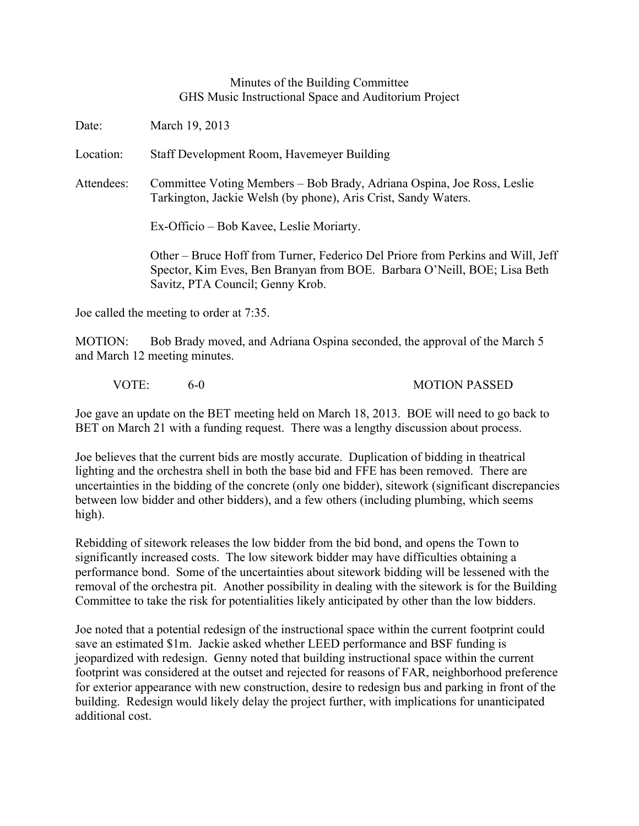## Minutes of the Building Committee GHS Music Instructional Space and Auditorium Project

Date: March 19, 2013

Location: Staff Development Room, Havemeyer Building

Attendees: Committee Voting Members – Bob Brady, Adriana Ospina, Joe Ross, Leslie Tarkington, Jackie Welsh (by phone), Aris Crist, Sandy Waters.

Ex-Officio – Bob Kavee, Leslie Moriarty.

Other – Bruce Hoff from Turner, Federico Del Priore from Perkins and Will, Jeff Spector, Kim Eves, Ben Branyan from BOE. Barbara O'Neill, BOE; Lisa Beth Savitz, PTA Council; Genny Krob.

Joe called the meeting to order at 7:35.

MOTION: Bob Brady moved, and Adriana Ospina seconded, the approval of the March 5 and March 12 meeting minutes.

VOTE: 6-0 6-0 MOTION PASSED

Joe gave an update on the BET meeting held on March 18, 2013. BOE will need to go back to BET on March 21 with a funding request. There was a lengthy discussion about process.

Joe believes that the current bids are mostly accurate. Duplication of bidding in theatrical lighting and the orchestra shell in both the base bid and FFE has been removed. There are uncertainties in the bidding of the concrete (only one bidder), sitework (significant discrepancies between low bidder and other bidders), and a few others (including plumbing, which seems high).

Rebidding of sitework releases the low bidder from the bid bond, and opens the Town to significantly increased costs. The low sitework bidder may have difficulties obtaining a performance bond. Some of the uncertainties about sitework bidding will be lessened with the removal of the orchestra pit. Another possibility in dealing with the sitework is for the Building Committee to take the risk for potentialities likely anticipated by other than the low bidders.

Joe noted that a potential redesign of the instructional space within the current footprint could save an estimated \$1m. Jackie asked whether LEED performance and BSF funding is jeopardized with redesign. Genny noted that building instructional space within the current footprint was considered at the outset and rejected for reasons of FAR, neighborhood preference for exterior appearance with new construction, desire to redesign bus and parking in front of the building. Redesign would likely delay the project further, with implications for unanticipated additional cost.